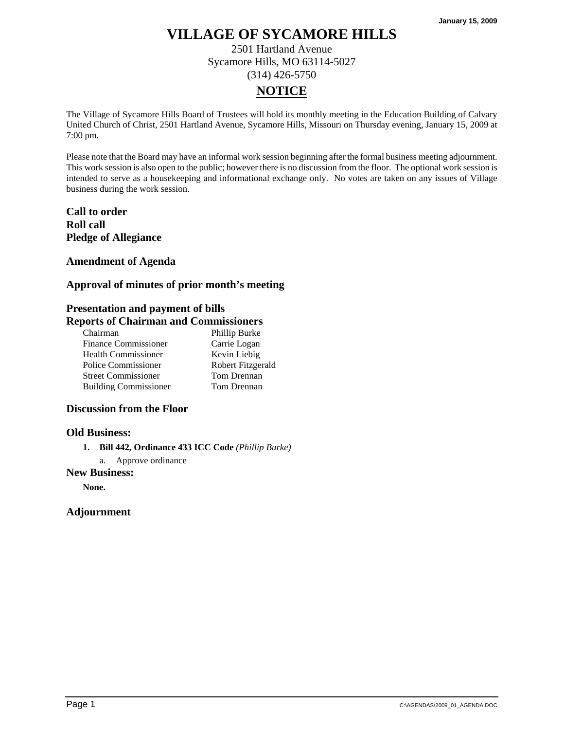2501 Hartland Avenue Sycamore Hills, MO 63114-5027 (314) 426-5750

# **NOTICE**

The Village of Sycamore Hills Board of Trustees will hold its monthly meeting in the Education Building of Calvary United Church of Christ, 2501 Hartland Avenue, Sycamore Hills, Missouri on Thursday evening, January 15, 2009 at 7:00 pm.

Please note that the Board may have an informal work session beginning after the formal business meeting adjournment. This work session is also open to the public; however there is no discussion from the floor. The optional work session is intended to serve as a housekeeping and informational exchange only. No votes are taken on any issues of Village business during the work session.

**Call to order Roll call Pledge of Allegiance** 

### **Amendment of Agenda**

## **Approval of minutes of prior month's meeting**

## **Presentation and payment of bills**

## **Reports of Chairman and Commissioners**

| Chairman                     | Phillip Burke     |
|------------------------------|-------------------|
| <b>Finance Commissioner</b>  | Carrie Logan      |
| <b>Health Commissioner</b>   | Kevin Liebig      |
| Police Commissioner          | Robert Fitzgerald |
| <b>Street Commissioner</b>   | Tom Drennan       |
| <b>Building Commissioner</b> | Tom Drennan       |

## **Discussion from the Floor**

### **Old Business:**

- **1. Bill 442, Ordinance 433 ICC Code** *(Phillip Burke)*
	- a. Approve ordinance

### **New Business:**

**None.**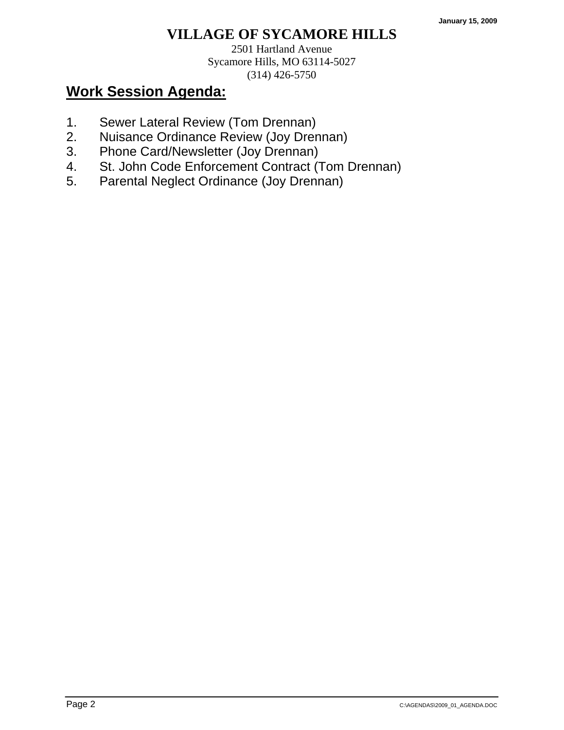2501 Hartland Avenue Sycamore Hills, MO 63114-5027 (314) 426-5750

- 1. Sewer Lateral Review (Tom Drennan)
- 2. Nuisance Ordinance Review (Joy Drennan)
- 3. Phone Card/Newsletter (Joy Drennan)
- 4. St. John Code Enforcement Contract (Tom Drennan)
- 5. Parental Neglect Ordinance (Joy Drennan)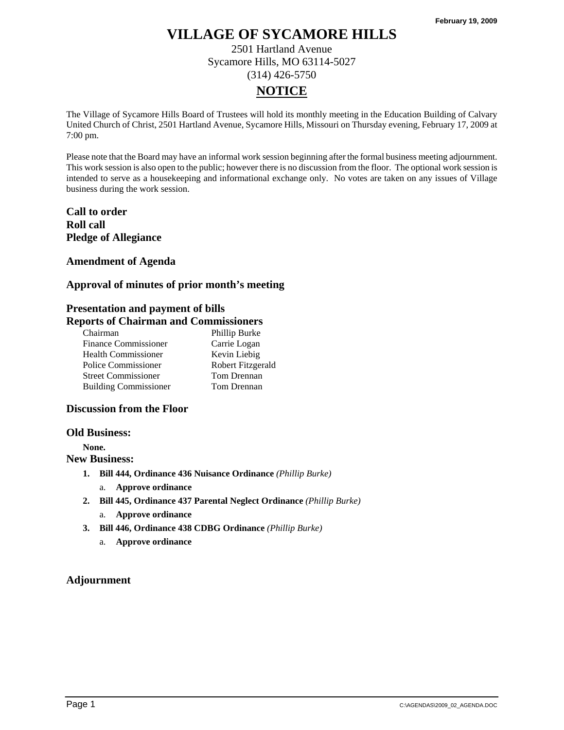2501 Hartland Avenue Sycamore Hills, MO 63114-5027 (314) 426-5750

# **NOTICE**

The Village of Sycamore Hills Board of Trustees will hold its monthly meeting in the Education Building of Calvary United Church of Christ, 2501 Hartland Avenue, Sycamore Hills, Missouri on Thursday evening, February 17, 2009 at 7:00 pm.

Please note that the Board may have an informal work session beginning after the formal business meeting adjournment. This work session is also open to the public; however there is no discussion from the floor. The optional work session is intended to serve as a housekeeping and informational exchange only. No votes are taken on any issues of Village business during the work session.

**Call to order Roll call Pledge of Allegiance** 

**Amendment of Agenda** 

## **Approval of minutes of prior month's meeting**

## **Presentation and payment of bills**

## **Reports of Chairman and Commissioners**

| Chairman                     | Phillip Burke     |
|------------------------------|-------------------|
| <b>Finance Commissioner</b>  | Carrie Logan      |
| <b>Health Commissioner</b>   | Kevin Liebig      |
| Police Commissioner          | Robert Fitzgerald |
| <b>Street Commissioner</b>   | Tom Drennan       |
| <b>Building Commissioner</b> | Tom Drennan       |

### **Discussion from the Floor**

#### **Old Business:**

**None.** 

**New Business:** 

- **1. Bill 444, Ordinance 436 Nuisance Ordinance** *(Phillip Burke)*
	- a. **Approve ordinance**
- **2. Bill 445, Ordinance 437 Parental Neglect Ordinance** *(Phillip Burke)*
	- a. **Approve ordinance**
- **3. Bill 446, Ordinance 438 CDBG Ordinance** *(Phillip Burke)*
	- a. **Approve ordinance**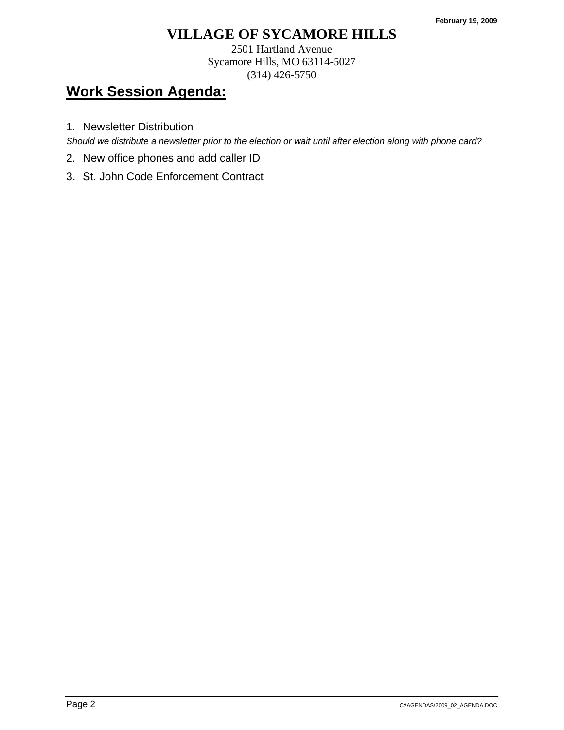2501 Hartland Avenue Sycamore Hills, MO 63114-5027 (314) 426-5750

# **Work Session Agenda:**

1. Newsletter Distribution

*Should we distribute a newsletter prior to the election or wait until after election along with phone card?* 

- 2. New office phones and add caller ID
- 3. St. John Code Enforcement Contract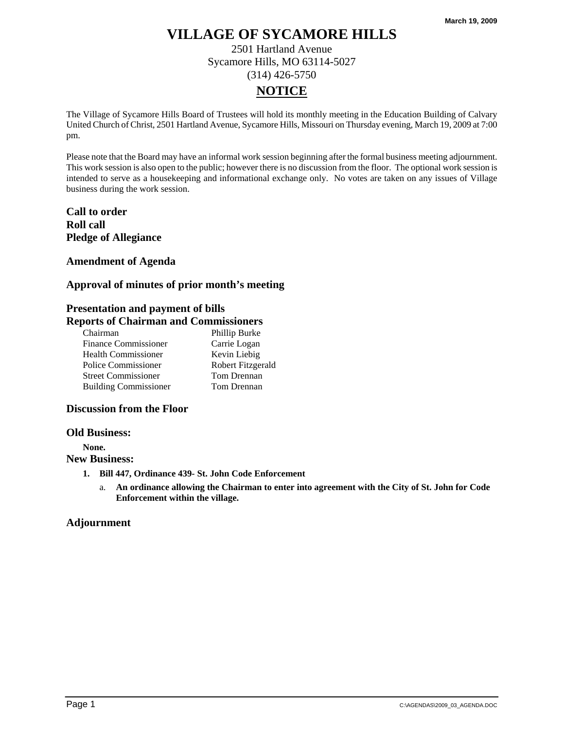2501 Hartland Avenue Sycamore Hills, MO 63114-5027 (314) 426-5750

# **NOTICE**

The Village of Sycamore Hills Board of Trustees will hold its monthly meeting in the Education Building of Calvary United Church of Christ, 2501 Hartland Avenue, Sycamore Hills, Missouri on Thursday evening, March 19, 2009 at 7:00 pm.

Please note that the Board may have an informal work session beginning after the formal business meeting adjournment. This work session is also open to the public; however there is no discussion from the floor. The optional work session is intended to serve as a housekeeping and informational exchange only. No votes are taken on any issues of Village business during the work session.

**Call to order Roll call Pledge of Allegiance** 

**Amendment of Agenda** 

### **Approval of minutes of prior month's meeting**

## **Presentation and payment of bills**

### **Reports of Chairman and Commissioners**

| Chairman                     | Phillip Burke     |
|------------------------------|-------------------|
| <b>Finance Commissioner</b>  | Carrie Logan      |
| <b>Health Commissioner</b>   | Kevin Liebig      |
| Police Commissioner          | Robert Fitzgerald |
| <b>Street Commissioner</b>   | Tom Drennan       |
| <b>Building Commissioner</b> | Tom Drennan       |

### **Discussion from the Floor**

#### **Old Business:**

**None.** 

#### **New Business:**

- **1. Bill 447, Ordinance 439- St. John Code Enforcement** 
	- a. **An ordinance allowing the Chairman to enter into agreement with the City of St. John for Code Enforcement within the village.**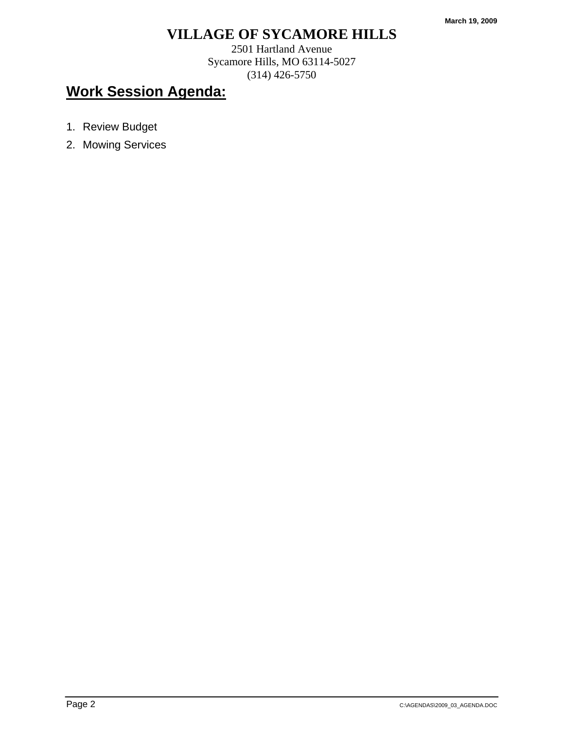2501 Hartland Avenue Sycamore Hills, MO 63114-5027 (314) 426-5750

- 1. Review Budget
- 2. Mowing Services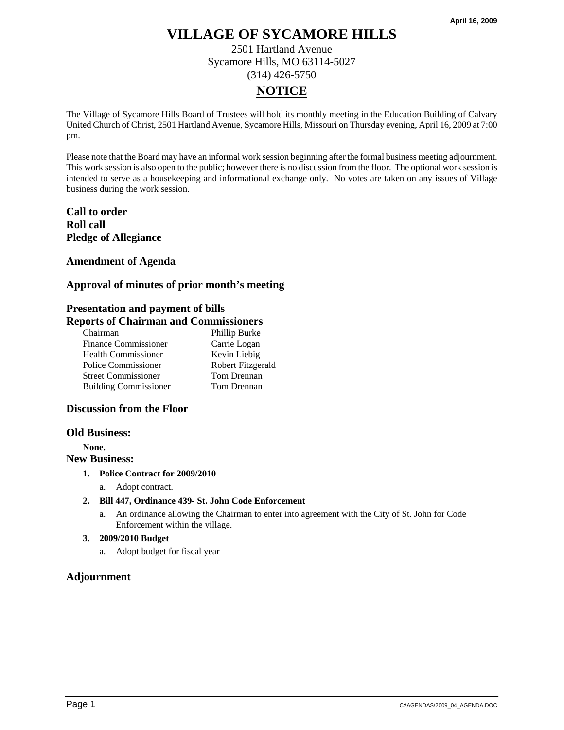2501 Hartland Avenue Sycamore Hills, MO 63114-5027 (314) 426-5750

# **NOTICE**

The Village of Sycamore Hills Board of Trustees will hold its monthly meeting in the Education Building of Calvary United Church of Christ, 2501 Hartland Avenue, Sycamore Hills, Missouri on Thursday evening, April 16, 2009 at 7:00 pm.

Please note that the Board may have an informal work session beginning after the formal business meeting adjournment. This work session is also open to the public; however there is no discussion from the floor. The optional work session is intended to serve as a housekeeping and informational exchange only. No votes are taken on any issues of Village business during the work session.

## **Call to order Roll call Pledge of Allegiance**

## **Amendment of Agenda**

## **Approval of minutes of prior month's meeting**

## **Presentation and payment of bills**

## **Reports of Chairman and Commissioners**

| Chairman                     | Phillip Burke     |
|------------------------------|-------------------|
| <b>Finance Commissioner</b>  | Carrie Logan      |
| <b>Health Commissioner</b>   | Kevin Liebig      |
| Police Commissioner          | Robert Fitzgerald |
| <b>Street Commissioner</b>   | Tom Drennan       |
| <b>Building Commissioner</b> | Tom Drennan       |

### **Discussion from the Floor**

#### **Old Business:**

**None.** 

### **New Business:**

- **1. Police Contract for 2009/2010** 
	- a. Adopt contract.
- **2. Bill 447, Ordinance 439- St. John Code Enforcement** 
	- a. An ordinance allowing the Chairman to enter into agreement with the City of St. John for Code Enforcement within the village.

### **3. 2009/2010 Budget**

a. Adopt budget for fiscal year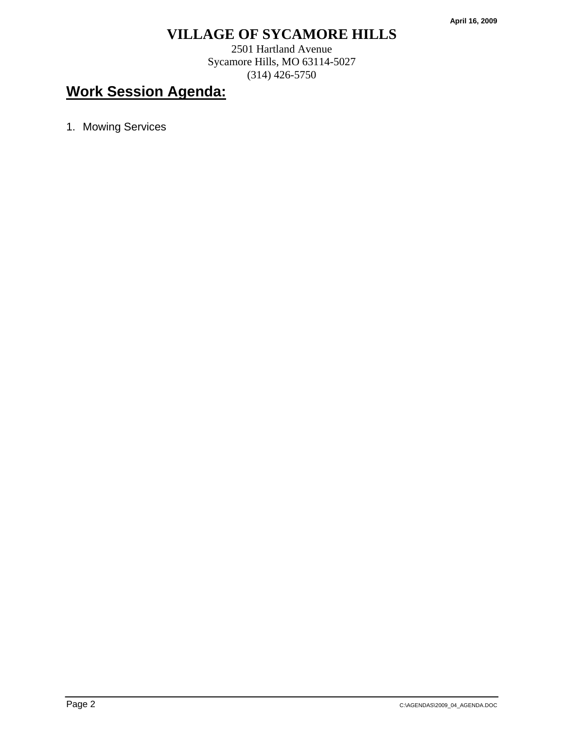2501 Hartland Avenue Sycamore Hills, MO 63114-5027 (314) 426-5750

# **Work Session Agenda:**

1. Mowing Services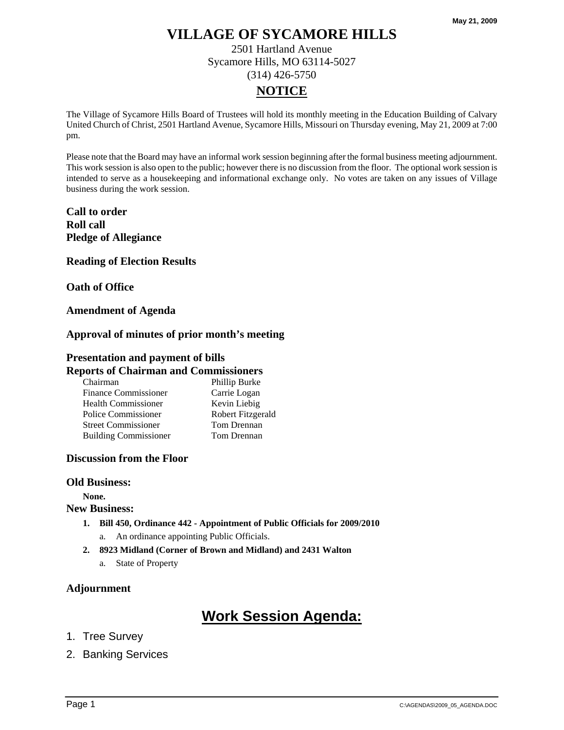2501 Hartland Avenue Sycamore Hills, MO 63114-5027 (314) 426-5750

# **NOTICE**

The Village of Sycamore Hills Board of Trustees will hold its monthly meeting in the Education Building of Calvary United Church of Christ, 2501 Hartland Avenue, Sycamore Hills, Missouri on Thursday evening, May 21, 2009 at 7:00 pm.

Please note that the Board may have an informal work session beginning after the formal business meeting adjournment. This work session is also open to the public; however there is no discussion from the floor. The optional work session is intended to serve as a housekeeping and informational exchange only. No votes are taken on any issues of Village business during the work session.

**Call to order Roll call Pledge of Allegiance** 

**Reading of Election Results** 

**Oath of Office** 

### **Amendment of Agenda**

### **Approval of minutes of prior month's meeting**

## **Presentation and payment of bills**

### **Reports of Chairman and Commissioners**

| Chairman                     | Phillip Burke     |
|------------------------------|-------------------|
| <b>Finance Commissioner</b>  | Carrie Logan      |
| <b>Health Commissioner</b>   | Kevin Liebig      |
| Police Commissioner          | Robert Fitzgerald |
| <b>Street Commissioner</b>   | Tom Drennan       |
| <b>Building Commissioner</b> | Tom Drennan       |

### **Discussion from the Floor**

#### **Old Business:**

**None.** 

#### **New Business:**

- **1. Bill 450, Ordinance 442 Appointment of Public Officials for 2009/2010** 
	- a. An ordinance appointing Public Officials.
- **2. 8923 Midland (Corner of Brown and Midland) and 2431 Walton** 
	- a. State of Property

## **Adjournment**

- 1. Tree Survey
- 2. Banking Services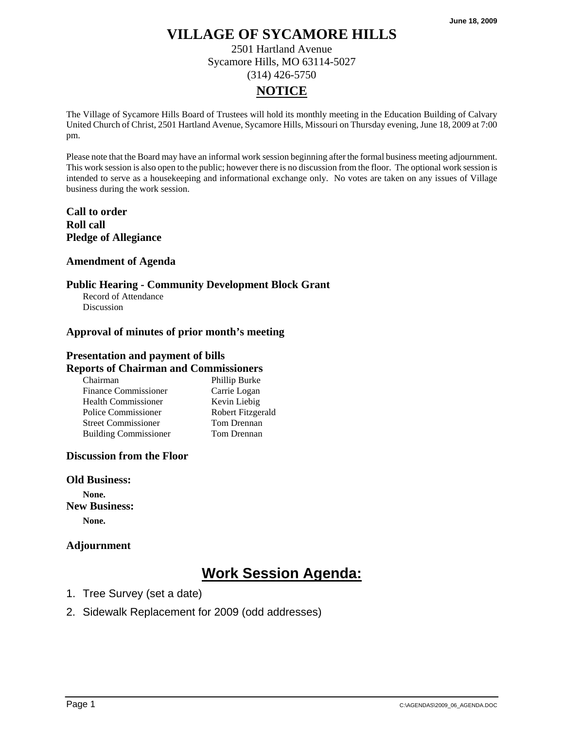2501 Hartland Avenue Sycamore Hills, MO 63114-5027 (314) 426-5750

# **NOTICE**

The Village of Sycamore Hills Board of Trustees will hold its monthly meeting in the Education Building of Calvary United Church of Christ, 2501 Hartland Avenue, Sycamore Hills, Missouri on Thursday evening, June 18, 2009 at 7:00 pm.

Please note that the Board may have an informal work session beginning after the formal business meeting adjournment. This work session is also open to the public; however there is no discussion from the floor. The optional work session is intended to serve as a housekeeping and informational exchange only. No votes are taken on any issues of Village business during the work session.

## **Call to order Roll call Pledge of Allegiance**

## **Amendment of Agenda**

## **Public Hearing - Community Development Block Grant**

Record of Attendance Discussion

## **Approval of minutes of prior month's meeting**

### **Presentation and payment of bills Reports of Chairman and Commissioners**

| Chairman                     | Phillip Burke     |
|------------------------------|-------------------|
| Finance Commissioner         | Carrie Logan      |
| Health Commissioner          | Kevin Liebig      |
| Police Commissioner          | Robert Fitzgerald |
| <b>Street Commissioner</b>   | Tom Drennan       |
| <b>Building Commissioner</b> | Tom Drennan       |

## **Discussion from the Floor**

### **Old Business:**

**None. New Business: None.** 

## **Adjournment**

- 1. Tree Survey (set a date)
- 2. Sidewalk Replacement for 2009 (odd addresses)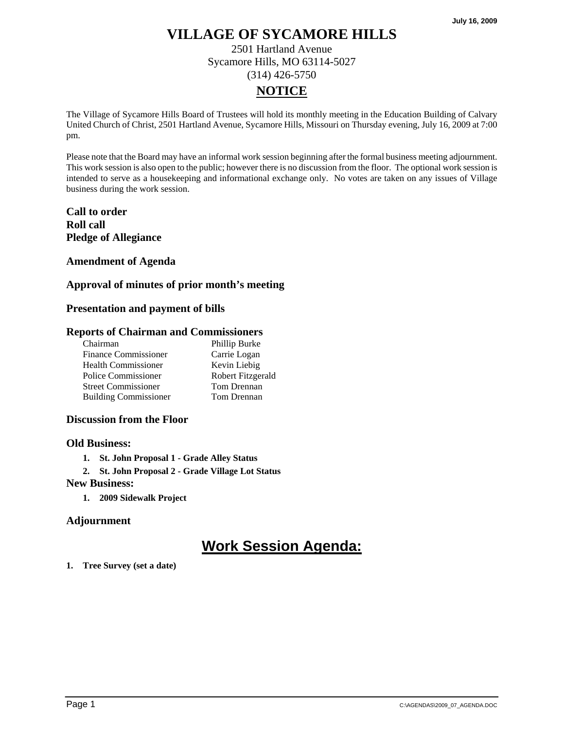2501 Hartland Avenue Sycamore Hills, MO 63114-5027 (314) 426-5750

# **NOTICE**

The Village of Sycamore Hills Board of Trustees will hold its monthly meeting in the Education Building of Calvary United Church of Christ, 2501 Hartland Avenue, Sycamore Hills, Missouri on Thursday evening, July 16, 2009 at 7:00 pm.

Please note that the Board may have an informal work session beginning after the formal business meeting adjournment. This work session is also open to the public; however there is no discussion from the floor. The optional work session is intended to serve as a housekeeping and informational exchange only. No votes are taken on any issues of Village business during the work session.

**Call to order Roll call Pledge of Allegiance** 

**Amendment of Agenda** 

## **Approval of minutes of prior month's meeting**

## **Presentation and payment of bills**

### **Reports of Chairman and Commissioners**

| Chairman                     | Phillip Burke     |
|------------------------------|-------------------|
| <b>Finance Commissioner</b>  | Carrie Logan      |
| <b>Health Commissioner</b>   | Kevin Liebig      |
| Police Commissioner          | Robert Fitzgerald |
| <b>Street Commissioner</b>   | Tom Drennan       |
| <b>Building Commissioner</b> | Tom Drennan       |

### **Discussion from the Floor**

### **Old Business:**

- **1. St. John Proposal 1 Grade Alley Status**
- **2. St. John Proposal 2 Grade Village Lot Status**

#### **New Business:**

**1. 2009 Sidewalk Project** 

## **Adjournment**

# **Work Session Agenda:**

#### **1. Tree Survey (set a date)**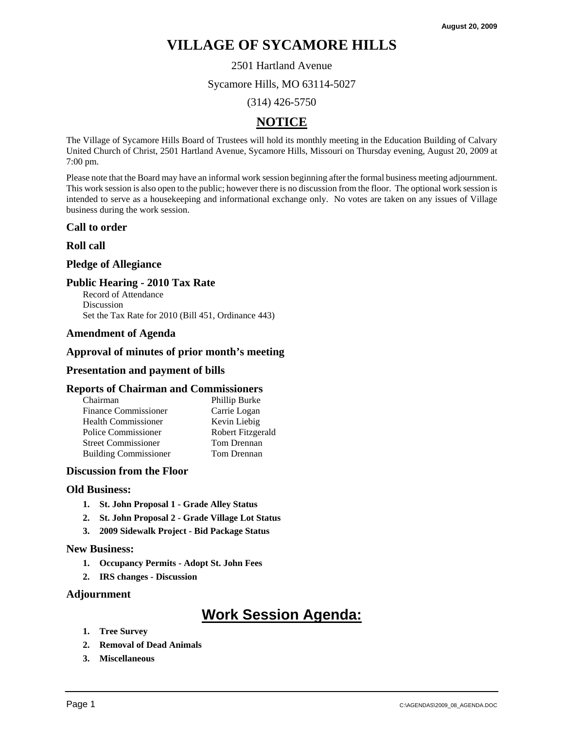2501 Hartland Avenue

Sycamore Hills, MO 63114-5027

(314) 426-5750

# **NOTICE**

The Village of Sycamore Hills Board of Trustees will hold its monthly meeting in the Education Building of Calvary United Church of Christ, 2501 Hartland Avenue, Sycamore Hills, Missouri on Thursday evening, August 20, 2009 at 7:00 pm.

Please note that the Board may have an informal work session beginning after the formal business meeting adjournment. This work session is also open to the public; however there is no discussion from the floor. The optional work session is intended to serve as a housekeeping and informational exchange only. No votes are taken on any issues of Village business during the work session.

### **Call to order**

### **Roll call**

### **Pledge of Allegiance**

### **Public Hearing - 2010 Tax Rate**

Record of Attendance Discussion Set the Tax Rate for 2010 (Bill 451, Ordinance 443)

### **Amendment of Agenda**

### **Approval of minutes of prior month's meeting**

### **Presentation and payment of bills**

#### **Reports of Chairman and Commissioners**

| Chairman                     | Phillip Burke     |
|------------------------------|-------------------|
| <b>Finance Commissioner</b>  | Carrie Logan      |
| <b>Health Commissioner</b>   | Kevin Liebig      |
| Police Commissioner          | Robert Fitzgerald |
| <b>Street Commissioner</b>   | Tom Drennan       |
| <b>Building Commissioner</b> | Tom Drennan       |

## **Discussion from the Floor**

#### **Old Business:**

- **1. St. John Proposal 1 Grade Alley Status**
- **2. St. John Proposal 2 Grade Village Lot Status**
- **3. 2009 Sidewalk Project Bid Package Status**

#### **New Business:**

- **1. Occupancy Permits Adopt St. John Fees**
- **2. IRS changes Discussion**

#### **Adjournment**

- **1. Tree Survey**
- **2. Removal of Dead Animals**
- **3. Miscellaneous**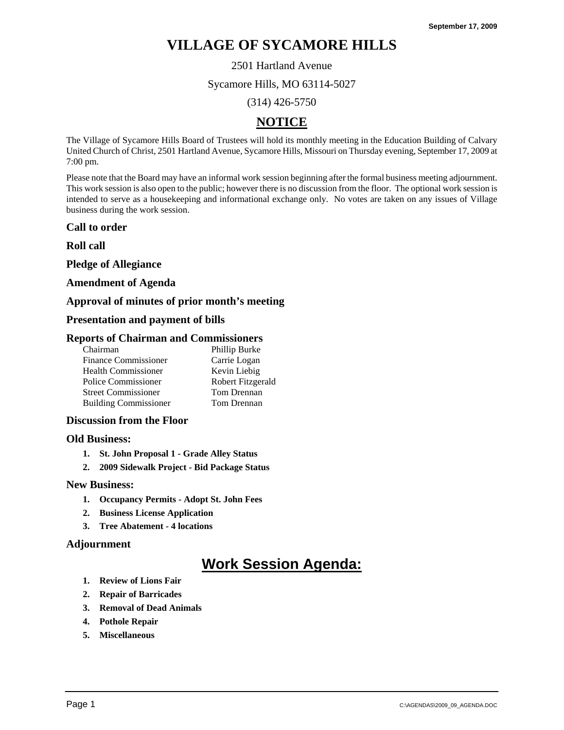2501 Hartland Avenue

Sycamore Hills, MO 63114-5027

(314) 426-5750

## **NOTICE**

The Village of Sycamore Hills Board of Trustees will hold its monthly meeting in the Education Building of Calvary United Church of Christ, 2501 Hartland Avenue, Sycamore Hills, Missouri on Thursday evening, September 17, 2009 at 7:00 pm.

Please note that the Board may have an informal work session beginning after the formal business meeting adjournment. This work session is also open to the public; however there is no discussion from the floor. The optional work session is intended to serve as a housekeeping and informational exchange only. No votes are taken on any issues of Village business during the work session.

### **Call to order**

**Roll call** 

**Pledge of Allegiance** 

### **Amendment of Agenda**

### **Approval of minutes of prior month's meeting**

### **Presentation and payment of bills**

### **Reports of Chairman and Commissioners**

| Chairman                     | Phillip Burke     |
|------------------------------|-------------------|
| <b>Finance Commissioner</b>  | Carrie Logan      |
| <b>Health Commissioner</b>   | Kevin Liebig      |
| Police Commissioner          | Robert Fitzgerald |
| <b>Street Commissioner</b>   | Tom Drennan       |
| <b>Building Commissioner</b> | Tom Drennan       |

#### **Discussion from the Floor**

#### **Old Business:**

- **1. St. John Proposal 1 Grade Alley Status**
- **2. 2009 Sidewalk Project Bid Package Status**

#### **New Business:**

- **1. Occupancy Permits Adopt St. John Fees**
- **2. Business License Application**
- **3. Tree Abatement 4 locations**

#### **Adjournment**

- **1. Review of Lions Fair**
- **2. Repair of Barricades**
- **3. Removal of Dead Animals**
- **4. Pothole Repair**
- **5. Miscellaneous**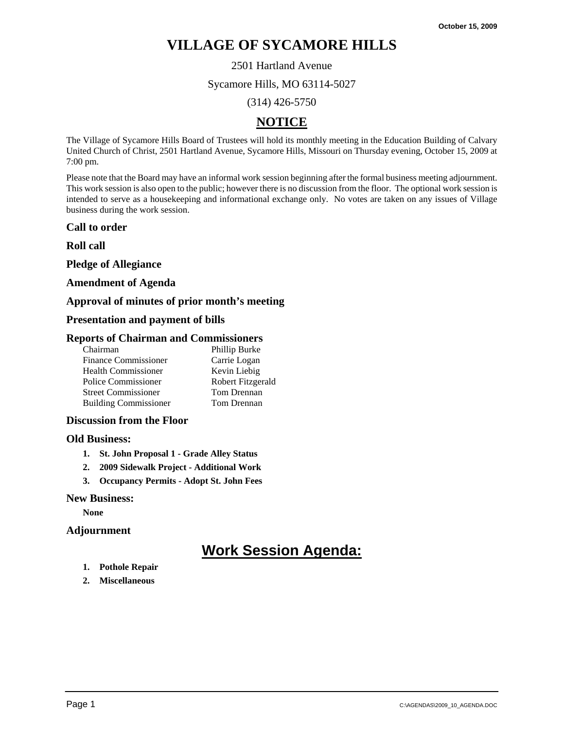2501 Hartland Avenue

Sycamore Hills, MO 63114-5027

(314) 426-5750

# **NOTICE**

The Village of Sycamore Hills Board of Trustees will hold its monthly meeting in the Education Building of Calvary United Church of Christ, 2501 Hartland Avenue, Sycamore Hills, Missouri on Thursday evening, October 15, 2009 at 7:00 pm.

Please note that the Board may have an informal work session beginning after the formal business meeting adjournment. This work session is also open to the public; however there is no discussion from the floor. The optional work session is intended to serve as a housekeeping and informational exchange only. No votes are taken on any issues of Village business during the work session.

### **Call to order**

**Roll call** 

**Pledge of Allegiance** 

### **Amendment of Agenda**

### **Approval of minutes of prior month's meeting**

### **Presentation and payment of bills**

### **Reports of Chairman and Commissioners**

| Chairman                     | Phillip Burke     |
|------------------------------|-------------------|
| <b>Finance Commissioner</b>  | Carrie Logan      |
| <b>Health Commissioner</b>   | Kevin Liebig      |
| Police Commissioner          | Robert Fitzgerald |
| <b>Street Commissioner</b>   | Tom Drennan       |
| <b>Building Commissioner</b> | Tom Drennan       |

### **Discussion from the Floor**

#### **Old Business:**

- **1. St. John Proposal 1 Grade Alley Status**
- **2. 2009 Sidewalk Project Additional Work**
- **3. Occupancy Permits Adopt St. John Fees**

#### **New Business:**

**None** 

### **Adjournment**

- **1. Pothole Repair**
- **2. Miscellaneous**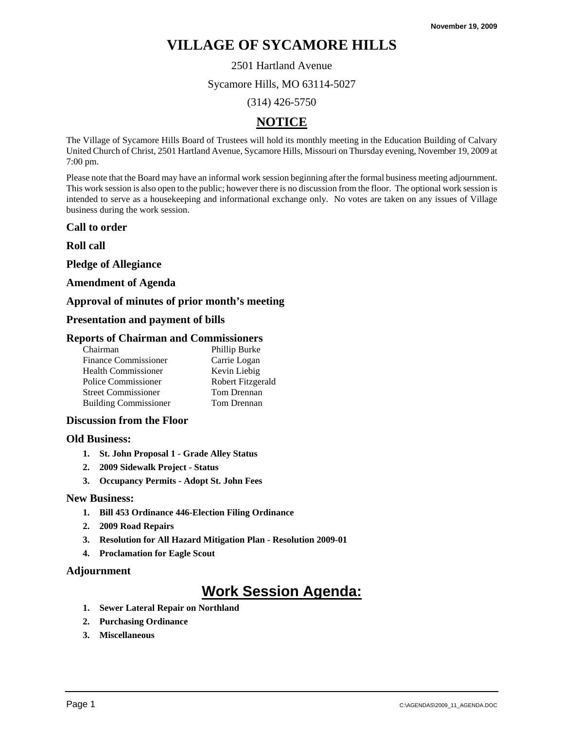2501 Hartland Avenue

Sycamore Hills, MO 63114-5027

(314) 426-5750

# **NOTICE**

The Village of Sycamore Hills Board of Trustees will hold its monthly meeting in the Education Building of Calvary United Church of Christ, 2501 Hartland Avenue, Sycamore Hills, Missouri on Thursday evening, November 19, 2009 at 7:00 pm.

Please note that the Board may have an informal work session beginning after the formal business meeting adjournment. This work session is also open to the public; however there is no discussion from the floor. The optional work session is intended to serve as a housekeeping and informational exchange only. No votes are taken on any issues of Village business during the work session.

### **Call to order**

**Roll call** 

**Pledge of Allegiance** 

### **Amendment of Agenda**

## **Approval of minutes of prior month's meeting**

### **Presentation and payment of bills**

### **Reports of Chairman and Commissioners**

| Chairman                     | Phillip Burke     |
|------------------------------|-------------------|
| <b>Finance Commissioner</b>  | Carrie Logan      |
| <b>Health Commissioner</b>   | Kevin Liebig      |
| Police Commissioner          | Robert Fitzgerald |
| <b>Street Commissioner</b>   | Tom Drennan       |
| <b>Building Commissioner</b> | Tom Drennan       |

### **Discussion from the Floor**

#### **Old Business:**

- **1. St. John Proposal 1 Grade Alley Status**
- **2. 2009 Sidewalk Project Status**
- **3. Occupancy Permits Adopt St. John Fees**

#### **New Business:**

- **1. Bill 453 Ordinance 446-Election Filing Ordinance**
- **2. 2009 Road Repairs**
- **3. Resolution for All Hazard Mitigation Plan Resolution 2009-01**
- **4. Proclamation for Eagle Scout**

### **Adjournment**

- **1. Sewer Lateral Repair on Northland**
- **2. Purchasing Ordinance**
- **3. Miscellaneous**